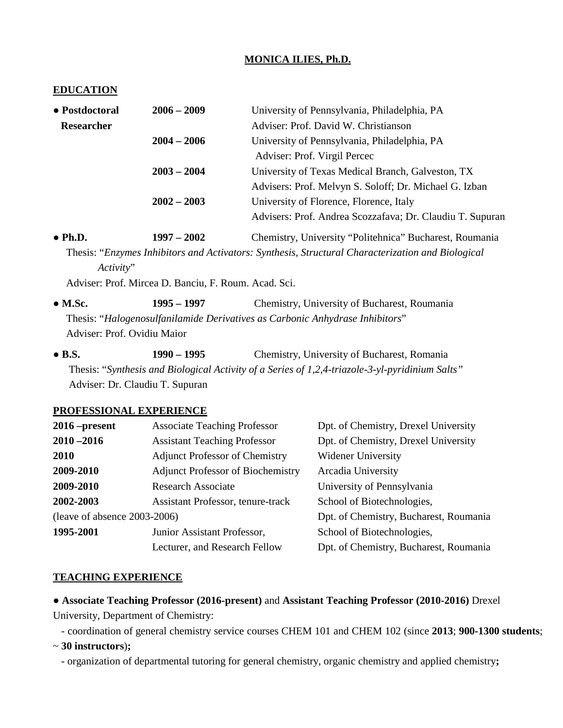### **MONICA ILIES, Ph.D.**

#### **EDUCATION**

| • Postdoctoral  | $2006 - 2009$ | University of Pennsylvania, Philadelphia, PA              |  |
|-----------------|---------------|-----------------------------------------------------------|--|
| Researcher      |               | Adviser: Prof. David W. Christianson                      |  |
|                 | $2004 - 2006$ | University of Pennsylvania, Philadelphia, PA              |  |
|                 |               | Adviser: Prof. Virgil Percec                              |  |
|                 | $2003 - 2004$ | University of Texas Medical Branch, Galveston, TX         |  |
|                 |               | Advisers: Prof. Melvyn S. Soloff; Dr. Michael G. Izban    |  |
|                 | $2002 - 2003$ | University of Florence, Florence, Italy                   |  |
|                 |               | Advisers: Prof. Andrea Scozzafava; Dr. Claudiu T. Supuran |  |
| $\bullet$ Ph.D. | $1997 - 2002$ | Chemistry, University "Politehnica" Bucharest, Roumania   |  |

 Thesis: "*Enzymes Inhibitors and Activators: Synthesis, Structural Characterization and Biological Activity*"

Adviser: Prof. Mircea D. Banciu, F. Roum. Acad. Sci.

**● M.Sc. 1995 – 1997** Chemistry, University of Bucharest, Roumania Thesis: "*Halogenosulfanilamide Derivatives as Carbonic Anhydrase Inhibitors*" Adviser: Prof. Ovidiu Maior

**● B.S. 1990 – 1995** Chemistry, University of Bucharest, Romania Thesis: "*Synthesis and Biological Activity of a Series of 1,2,4-triazole-3-yl-pyridinium Salts"* Adviser: Dr. Claudiu T. Supuran

#### **PROFESSIONAL EXPERIENCE**

| $2016$ –present                 | <b>Associate Teaching Professor</b>      | Dpt. of Chemistry, Drexel University   |
|---------------------------------|------------------------------------------|----------------------------------------|
| $2010 - 2016$                   | <b>Assistant Teaching Professor</b>      | Dpt. of Chemistry, Drexel University   |
| <b>2010</b>                     | <b>Adjunct Professor of Chemistry</b>    | Widener University                     |
| 2009-2010                       | <b>Adjunct Professor of Biochemistry</b> | Arcadia University                     |
| 2009-2010                       | <b>Research Associate</b>                | University of Pennsylvania             |
| 2002-2003                       | Assistant Professor, tenure-track        | School of Biotechnologies,             |
| (leave of absence $2003-2006$ ) |                                          | Dpt. of Chemistry, Bucharest, Roumania |
| 1995-2001                       | Junior Assistant Professor,              | School of Biotechnologies,             |
|                                 | Lecturer, and Research Fellow            | Dpt. of Chemistry, Bucharest, Roumania |

#### **TEACHING EXPERIENCE**

● **Associate Teaching Professor (2016-present)** and **Assistant Teaching Professor (2010-2016)** Drexel University, Department of Chemistry:

- coordination of general chemistry service courses CHEM 101 and CHEM 102 (since **2013**; **900-1300 students**;

~ **30 instructors**)**;**

- organization of departmental tutoring for general chemistry, organic chemistry and applied chemistry**;**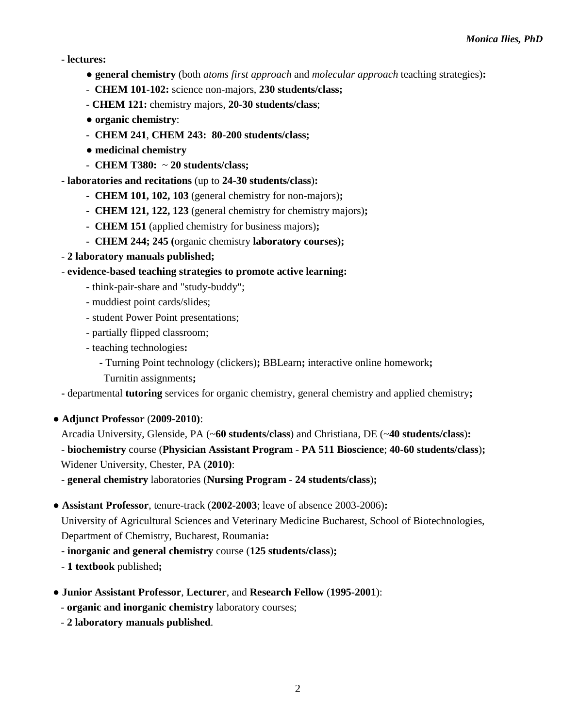**- lectures:**

- **general chemistry** (both *atoms first approach* and *molecular approach* teaching strategies)**:**
- **CHEM 101-102:** science non-majors, **230 students/class;**
- **- CHEM 121:** chemistry majors, **20-30 students/class**;
- **organic chemistry**:
- **CHEM 241**, **CHEM 243: 80**-**200 students/class;**
- **medicinal chemistry**
- **CHEM T380:** ~ **20 students/class;**

**- laboratories and recitations** (up to **24-30 students/class**)**:**

- **- CHEM 101, 102, 103** (general chemistry for non-majors)**;**
- **- CHEM 121, 122, 123** (general chemistry for chemistry majors)**;**
- **- CHEM 151** (applied chemistry for business majors)**;**
- **- CHEM 244; 245 (**organic chemistry **laboratory courses);**
- **2 laboratory manuals published;**
- **evidence-based teaching strategies to promote active learning:**
	- **-** think-pair-share and "study-buddy";
	- muddiest point cards/slides;
	- student Power Point presentations;
	- partially flipped classroom;
	- teaching technologies**:**
		- **-** Turning Point technology (clickers)**;** BBLearn**;** interactive online homework**;**
		- Turnitin assignments**;**

**-** departmental **tutoring** services for organic chemistry, general chemistry and applied chemistry**;** 

- **Adjunct Professor** (**2009-2010)**:
	- Arcadia University, Glenside, PA (~**60 students/class**) and Christiana, DE (~**40 students/class**)**:** - **biochemistry** course (**Physician Assistant Program** - **PA 511 Bioscience**; **40-60 students/class**)**;** Widener University, Chester, PA (**2010)**:

- **general chemistry** laboratories (**Nursing Program** - **24 students/class**)**;**

● **Assistant Professor**, tenure-track (**2002-2003**; leave of absence 2003-2006)**:**

University of Agricultural Sciences and Veterinary Medicine Bucharest, School of Biotechnologies, Department of Chemistry, Bucharest, Roumania**:**

- **inorganic and general chemistry** course (**125 students/class**)**;**
- **1 textbook** published**;**
- **Junior Assistant Professor**, **Lecturer**, and **Research Fellow** (**1995-2001**):
	- **organic and inorganic chemistry** laboratory courses;
	- **2 laboratory manuals published**.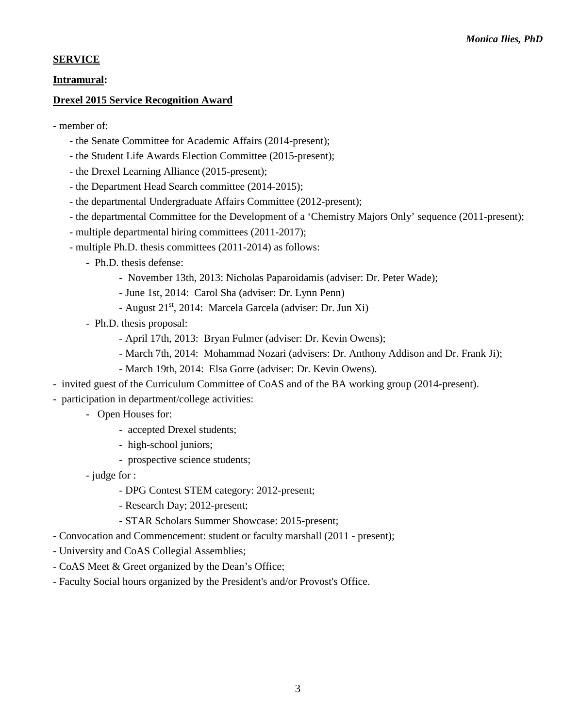## **SERVICE**

### **Intramural:**

## **Drexel 2015 Service Recognition Award**

- member of:
	- the Senate Committee for Academic Affairs (2014-present);
	- the Student Life Awards Election Committee (2015-present);
	- the Drexel Learning Alliance (2015-present);
	- the Department Head Search committee (2014-2015);
	- the departmental Undergraduate Affairs Committee (2012-present);
	- the departmental Committee for the Development of a 'Chemistry Majors Only' sequence (2011-present);
	- multiple departmental hiring committees (2011-2017);
	- multiple Ph.D. thesis committees (2011-2014) as follows:
		- **-** Ph.D. thesis defense:
			- November 13th, 2013: Nicholas Paparoidamis (adviser: Dr. Peter Wade);
			- June 1st, 2014: Carol Sha (adviser: Dr. Lynn Penn)
			- August 21<sup>st</sup>, 2014: Marcela Garcela (adviser: Dr. Jun Xi)
		- Ph.D. thesis proposal:
			- April 17th, 2013: Bryan Fulmer (adviser: Dr. Kevin Owens);
			- March 7th, 2014: Mohammad Nozari (advisers: Dr. Anthony Addison and Dr. Frank Ji);
			- March 19th, 2014: Elsa Gorre (adviser: Dr. Kevin Owens).
- invited guest of the Curriculum Committee of CoAS and of the BA working group (2014-present).
- participation in department/college activities:
	- Open Houses for:
		- accepted Drexel students;
		- high-school juniors;
		- prospective science students;
	- judge for :
		- DPG Contest STEM category: 2012-present;
		- Research Day; 2012-present;
		- STAR Scholars Summer Showcase: 2015-present;
- Convocation and Commencement: student or faculty marshall (2011 present);
- University and CoAS Collegial Assemblies;
- CoAS Meet & Greet organized by the Dean's Office;
- Faculty Social hours organized by the President's and/or Provost's Office.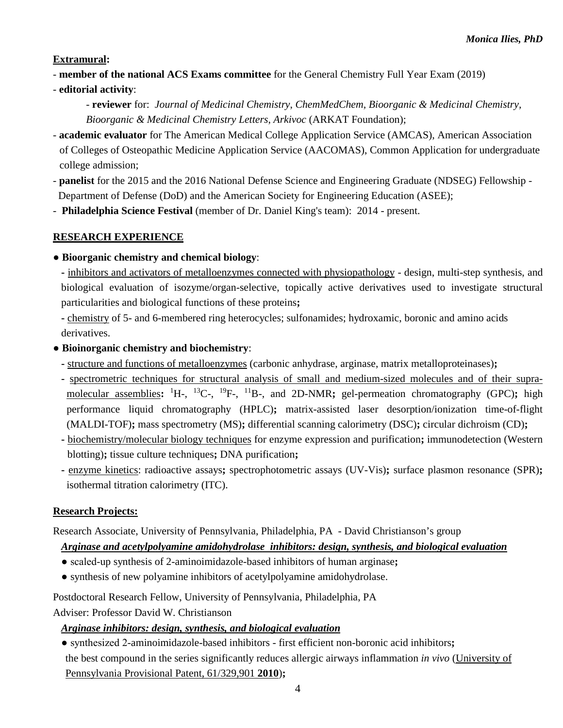**Extramural:**

- **member of the national ACS Exams committee** for the General Chemistry Full Year Exam (2019)
- **editorial activity**:
	- **reviewer** for: *Journal of Medicinal Chemistry*, *ChemMedChem, Bioorganic & Medicinal Chemistry, Bioorganic & Medicinal Chemistry Letters*, *Arkivoc* (ARKAT Foundation);
- **academic evaluator** for The American Medical College Application Service (AMCAS), American Association of Colleges of Osteopathic Medicine Application Service (AACOMAS), Common Application for undergraduate college admission;
- **panelist** for the 2015 and the 2016 National Defense Science and Engineering Graduate (NDSEG) Fellowship Department of Defense (DoD) and the American Society for Engineering Education (ASEE);
- **Philadelphia Science Festival** (member of Dr. Daniel King's team): 2014 present.

## **RESEARCH EXPERIENCE**

● **Bioorganic chemistry and chemical biology**:

**-** inhibitors and activators of metalloenzymes connected with physiopathology - design, multi-step synthesis, and biological evaluation of isozyme/organ-selective, topically active derivatives used to investigate structural particularities and biological functions of these proteins**;**

**-** chemistry of 5- and 6-membered ring heterocycles; sulfonamides; hydroxamic, boronic and amino acids derivatives.

- **Bioinorganic chemistry and biochemistry**:
	- **-** structure and functions of metalloenzymes (carbonic anhydrase, arginase, matrix metalloproteinases)**;**
	- **-** spectrometric techniques for structural analysis of small and medium-sized molecules and of their supramolecular assemblies: <sup>1</sup>H-, <sup>13</sup>C-, <sup>19</sup>F-, <sup>11</sup>B-, and 2D-NMR; gel-permeation chromatography (GPC); high performance liquid chromatography (HPLC)**;** matrix-assisted laser desorption/ionization time-of-flight (MALDI-TOF)**;** mass spectrometry (MS)**;** differential scanning calorimetry (DSC)**;** circular dichroism (CD)**;**
	- **-** biochemistry/molecular biology techniques for enzyme expression and purification**;** immunodetection (Western blotting)**;** tissue culture techniques**;** DNA purification**;**
	- **-** enzyme kinetics: radioactive assays**;** spectrophotometric assays (UV-Vis)**;** surface plasmon resonance (SPR)**;**  isothermal titration calorimetry (ITC).

## **Research Projects:**

Research Associate, University of Pennsylvania, Philadelphia, PA - David Christianson's group

## *Arginase and acetylpolyamine amidohydrolase inhibitors: design, synthesis, and biological evaluation*

- scaled-up synthesis of 2-aminoimidazole-based inhibitors of human arginase**;**
- synthesis of new polyamine inhibitors of acetylpolyamine amidohydrolase.

Postdoctoral Research Fellow, University of Pennsylvania, Philadelphia, PA

Adviser: Professor David W. Christianson

## *Arginase inhibitors: design, synthesis, and biological evaluation*

● synthesized 2-aminoimidazole-based inhibitors - first efficient non-boronic acid inhibitors**;** the best compound in the series significantly reduces allergic airways inflammation *in vivo* (University of Pennsylvania Provisional Patent, 61/329,901 **2010**)**;**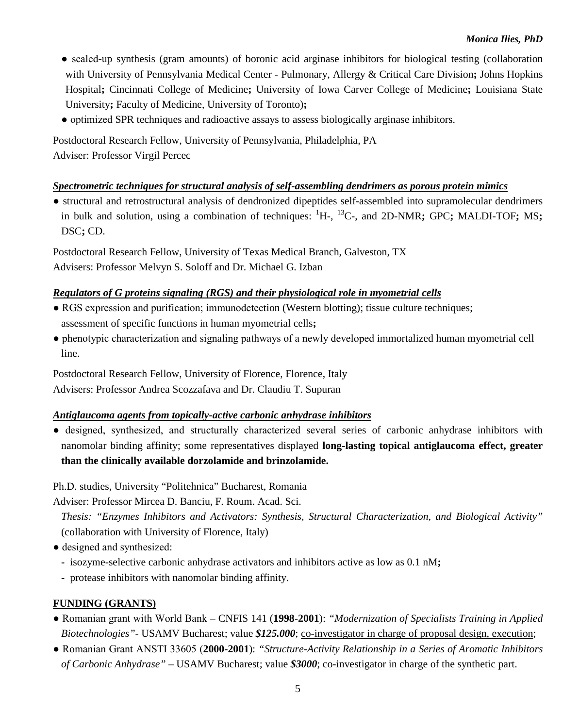- scaled-up synthesis (gram amounts) of boronic acid arginase inhibitors for biological testing (collaboration with University of Pennsylvania Medical Center - Pulmonary, Allergy & Critical Care Division**;** Johns Hopkins Hospital**;** Cincinnati College of Medicine**;** University of Iowa Carver College of Medicine**;** Louisiana State University**;** Faculty of Medicine, University of Toronto)**;**
- optimized SPR techniques and radioactive assays to assess biologically arginase inhibitors.

Postdoctoral Research Fellow, University of Pennsylvania, Philadelphia, PA Adviser: Professor Virgil Percec

## *Spectrometric techniques for structural analysis of self-assembling dendrimers as porous protein mimics*

● structural and retrostructural analysis of dendronized dipeptides self-assembled into supramolecular dendrimers in bulk and solution, using a combination of techniques: <sup>1</sup> H-, 13C-, and 2D-NMR**;** GPC**;** MALDI-TOF**;** MS**;** DSC**;** CD.

Postdoctoral Research Fellow, University of Texas Medical Branch, Galveston, TX Advisers: Professor Melvyn S. Soloff and Dr. Michael G. Izban

## *Regulators of G proteins signaling (RGS) and their physiological role in myometrial cells*

- RGS expression and purification; immunodetection (Western blotting); tissue culture techniques; assessment of specific functions in human myometrial cells**;**
- phenotypic characterization and signaling pathways of a newly developed immortalized human myometrial cell line.

Postdoctoral Research Fellow, University of Florence, Florence, Italy Advisers: Professor Andrea Scozzafava and Dr. Claudiu T. Supuran

## *Antiglaucoma agents from topically-active carbonic anhydrase inhibitors*

● designed, synthesized, and structurally characterized several series of carbonic anhydrase inhibitors with nanomolar binding affinity; some representatives displayed **long-lasting topical antiglaucoma effect, greater than the clinically available dorzolamide and brinzolamide.**

Ph.D. studies, University "Politehnica" Bucharest, Romania

Adviser: Professor Mircea D. Banciu, F. Roum. Acad. Sci.

*Thesis: "Enzymes Inhibitors and Activators: Synthesis, Structural Characterization, and Biological Activity"* (collaboration with University of Florence, Italy)

- designed and synthesized:
	- **-** isozyme-selective carbonic anhydrase activators and inhibitors active as low as 0.1 nM**;**
	- **-** protease inhibitors with nanomolar binding affinity.

# **FUNDING (GRANTS)**

- Romanian grant with World Bank CNFIS 141 (**1998-2001**): *"Modernization of Specialists Training in Applied Biotechnologies"*- USAMV Bucharest; value *\$125.000*; co-investigator in charge of proposal design, execution;
- Romanian Grant ANSTI 33605 (**2000-2001**): *"Structure-Activity Relationship in a Series of Aromatic Inhibitors of Carbonic Anhydrase"* – USAMV Bucharest; value *\$3000*; co-investigator in charge of the synthetic part.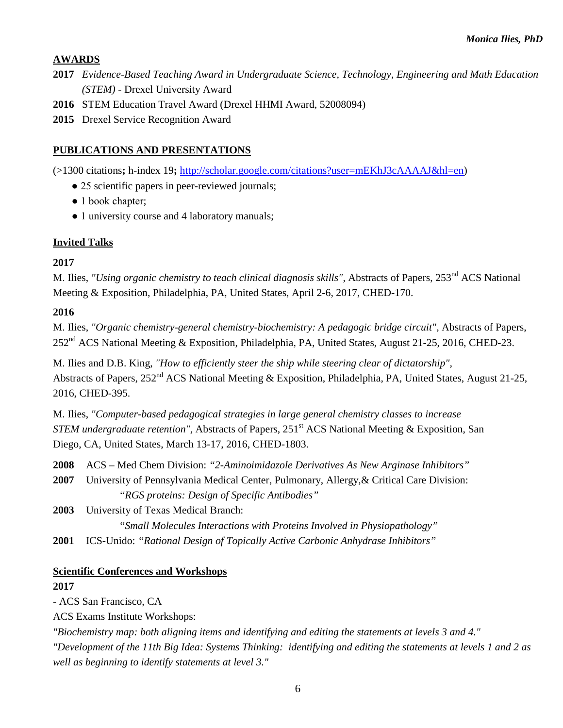## **AWARDS**

- **2017** *Evidence-Based Teaching Award in Undergraduate Science, Technology, Engineering and Math Education (STEM)* - Drexel University Award
- **2016** STEM Education Travel Award (Drexel HHMI Award, 52008094)
- **2015** Drexel Service Recognition Award

## **PUBLICATIONS AND PRESENTATIONS**

(>1300 citations**;** h-index 19**;** [http://scholar.google.com/citations?user=mEKhJ3cAAAAJ&hl=en\)](http://scholar.google.com/citations?user=mEKhJ3cAAAAJ&hl=en)

- 25 scientific papers in peer-reviewed journals;
- 1 book chapter;
- 1 university course and 4 laboratory manuals;

## **Invited Talks**

## **2017**

M. Ilies, "Using organic chemistry to teach clinical diagnosis skills", Abstracts of Papers, 253<sup>nd</sup> ACS National Meeting & Exposition, Philadelphia, PA, United States, April 2-6, 2017, CHED-170.

## **2016**

M. Ilies, *"Organic chemistry-general chemistry-biochemistry: A pedagogic bridge circuit",* Abstracts of Papers, 252nd ACS National Meeting & Exposition, Philadelphia, PA, United States, August 21-25, 2016, CHED-23.

M. Ilies and D.B. King, *"How to efficiently steer the ship while steering clear of dictatorship",* Abstracts of Papers, 252<sup>nd</sup> ACS National Meeting & Exposition, Philadelphia, PA, United States, August 21-25, 2016, CHED-395.

M. Ilies, *"Computer-based pedagogical strategies in large general chemistry classes to increase STEM undergraduate retention"*, Abstracts of Papers, 251<sup>st</sup> ACS National Meeting & Exposition, San Diego, CA, United States, March 13-17, 2016, CHED-1803.

- **2008** ACS Med Chem Division: *"2-Aminoimidazole Derivatives As New Arginase Inhibitors"*
- **2007** University of Pennsylvania Medical Center, Pulmonary, Allergy,& Critical Care Division: *"RGS proteins: Design of Specific Antibodies"*

**2003** University of Texas Medical Branch:

*"Small Molecules Interactions with Proteins Involved in Physiopathology"*

**2001** ICS-Unido: *"Rational Design of Topically Active Carbonic Anhydrase Inhibitors"*

## **Scientific Conferences and Workshops**

## **2017**

**-** ACS San Francisco, CA

ACS Exams Institute Workshops:

*"Biochemistry map: both aligning items and identifying and editing the statements at levels 3 and 4."*

*"Development of the 11th Big Idea: Systems Thinking: identifying and editing the statements at levels 1 and 2 as well as beginning to identify statements at level 3."*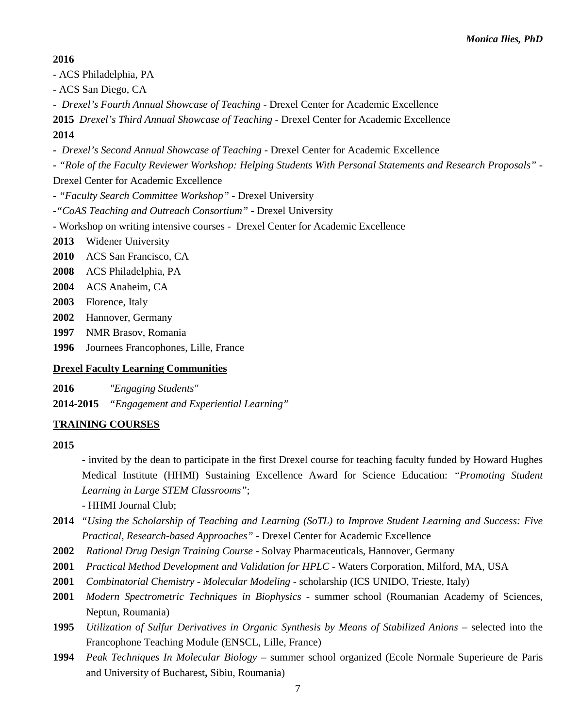## **2016**

- **-** ACS Philadelphia, PA
- **-** ACS San Diego, CA
- *Drexel's Fourth Annual Showcase of Teaching* Drexel Center for Academic Excellence

**2015** *Drexel's Third Annual Showcase of Teaching* - Drexel Center for Academic Excellence **2014** 

- *Drexel's Second Annual Showcase of Teaching* Drexel Center for Academic Excellence
- **-** *"Role of the Faculty Reviewer Workshop: Helping Students With Personal Statements and Research Proposals" -*
- Drexel Center for Academic Excellence
- **-** *"Faculty Search Committee Workshop"* Drexel University
- **-***"CoAS Teaching and Outreach Consortium"* Drexel University
- **-** Workshop on writing intensive courses Drexel Center for Academic Excellence
- **2013** Widener University
- **2010** ACS San Francisco, CA
- **2008** ACS Philadelphia, PA
- **2004** ACS Anaheim, CA
- **2003** Florence, Italy
- **2002** Hannover, Germany
- **1997** NMR Brasov, Romania
- **1996** Journees Francophones, Lille, France

### **Drexel Faculty Learning Communities**

**2016** *"Engaging Students"*

**2014-2015** *"Engagement and Experiential Learning"*

## **TRAINING COURSES**

#### **2015**

**-** invited by the dean to participate in the first Drexel course for teaching faculty funded by Howard Hughes Medical Institute (HHMI) Sustaining Excellence Award for Science Education: *"Promoting Student Learning in Large STEM Classrooms"*;

- **-** HHMI Journal Club;
- **2014** *"Using the Scholarship of Teaching and Learning (SoTL) to Improve Student Learning and Success: Five Practical, Research-based Approaches" -* Drexel Center for Academic Excellence
- **2002** *Rational Drug Design Training Course*  Solvay Pharmaceuticals, Hannover, Germany
- **2001** *Practical Method Development and Validation for HPLC* Waters Corporation, Milford, MA, USA
- **2001** *Combinatorial Chemistry - Molecular Modeling* scholarship (ICS UNIDO, Trieste, Italy)
- **2001** *Modern Spectrometric Techniques in Biophysics -* summer school (Roumanian Academy of Sciences, Neptun, Roumania)
- **1995** *Utilization of Sulfur Derivatives in Organic Synthesis by Means of Stabilized Anions* selected into the Francophone Teaching Module (ENSCL, Lille, France)
- **1994** *Peak Techniques In Molecular Biology* summer school organized (Ecole Normale Superieure de Paris and University of Bucharest**,** Sibiu, Roumania)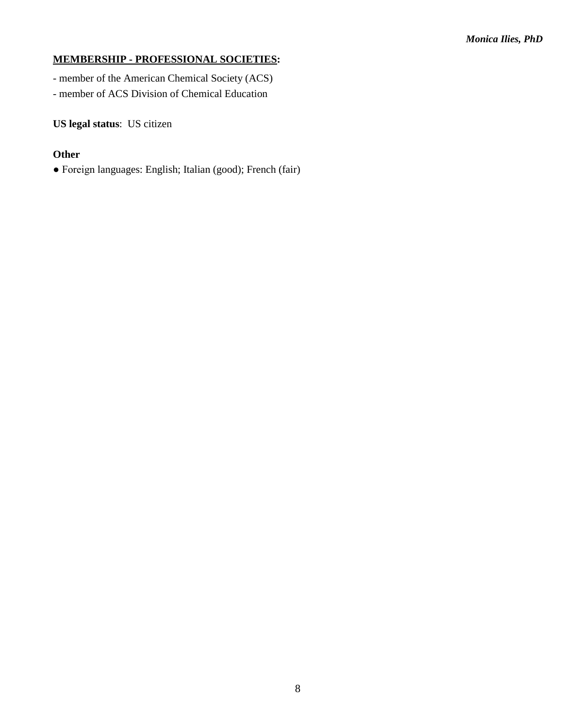## **MEMBERSHIP - PROFESSIONAL SOCIETIES:**

- member of the American Chemical Society (ACS)
- member of ACS Division of Chemical Education

**US legal status**: US citizen

## **Other**

● Foreign languages: English; Italian (good); French (fair)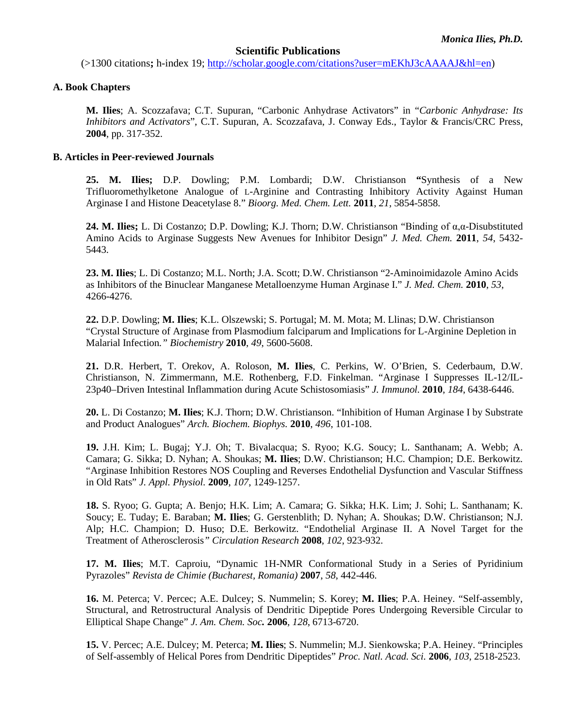#### **Scientific Publications**

(>1300 citations**;** h-index 19; [http://scholar.google.com/citations?user=mEKhJ3cAAAAJ&hl=en\)](http://scholar.google.com/citations?user=mEKhJ3cAAAAJ&hl=en)

#### **A. Book Chapters**

**M. Ilies**; A. Scozzafava; C.T. Supuran, "Carbonic Anhydrase Activators" in "*Carbonic Anhydrase: Its Inhibitors and Activators*", C.T. Supuran, A. Scozzafava, J. Conway Eds., Taylor & Francis/CRC Press, **2004**, pp. 317-352.

#### **B. Articles in Peer-reviewed Journals**

**25. M. Ilies;** D.P. Dowling; P.M. Lombardi; D.W. Christianson **"**[Synthesis of a New](http://www.ncbi.nlm.nih.gov/pubmed/21875805)  [Trifluoromethylketone Analogue of L-Arginine and Contrasting Inhibitory Activity Against Human](http://www.ncbi.nlm.nih.gov/pubmed/21875805)  [Arginase I and Histone Deacetylase 8."](http://www.ncbi.nlm.nih.gov/pubmed/21875805) *Bioorg. Med. Chem. Lett.* **2011**, *21*, 5854-5858.

**24. M. Ilies;** L. Di Costanzo; D.P. Dowling; K.J. Thorn; D.W. Christianson "[Binding of α,α](http://www.ncbi.nlm.nih.gov/pubmed/21728378)-Disubstituted [Amino Acids to Arginase Suggests New Avenues for Inhibitor Design"](http://www.ncbi.nlm.nih.gov/pubmed/21728378) *J. Med. Chem.* **2011**, *54*, 5432- 5443.

**23. M. Ilies**; L. Di Costanzo; M.L. North; J.A. Scott; D.W. Christianson "2-Aminoimidazole Amino Acids as Inhibitors of the Binuclear Manganese Metalloenzyme Human Arginase I." *J. Med. Chem.* **2010**, *53*, 4266-4276.

**22.** D.P. Dowling; **M. Ilies**; K.L. Olszewski; S. Portugal; M. M. Mota; M. Llinas; D.W. Christianson "Crystal Structure of Arginase from Plasmodium falciparum and Implications for L-Arginine Depletion in Malarial Infection*." Biochemistry* **2010**, *49*, 5600-5608.

**21.** D.R. Herbert, T. Orekov, A. Roloson, **M. Ilies**, C. Perkins, W. O'Brien, S. Cederbaum, D.W. Christianson, N. Zimmermann, M.E. Rothenberg, F.D. Finkelman. "Arginase I Suppresses IL-12/IL-23p40–Driven Intestinal Inflammation during Acute Schistosomiasis" *J. Immunol.* **2010**, *184*, 6438-6446.

**20.** L. Di Costanzo; **M. Ilies**; K.J. Thorn; D.W. Christianson. "Inhibition of Human Arginase I by Substrate and Product Analogues" *Arch. Biochem. Biophys.* **2010**, *496*, 101-108.

**19.** J.H. Kim; L. Bugaj; Y.J. Oh; T. Bivalacqua; S. Ryoo; K.G. Soucy; L. Santhanam; A. Webb; A. Camara; G. Sikka; D. Nyhan; A. Shoukas; **M. Ilies**; D.W. Christianson; H.C. Champion; D.E. Berkowitz. "Arginase Inhibition Restores NOS Coupling and Reverses Endothelial Dysfunction and Vascular Stiffness in Old Rats" *J. Appl. Physiol.* **2009**, *107*, 1249-1257.

**18.** S. Ryoo; G. Gupta; A. Benjo; H.K. Lim; A. Camara; G. Sikka; H.K. Lim; J. Sohi; L. Santhanam; K. Soucy; E. Tuday; E. Baraban; **M. Ilies**; G. Gerstenblith; D. Nyhan; A. Shoukas; D.W. Christianson; N.J. Alp; H.C. Champion; D. Huso; D.E. Berkowitz. "Endothelial Arginase II. A Novel Target for the Treatment of Atherosclerosis*" Circulation Research* **2008**, *102*, 923-932.

**17. M. Ilies**; M.T. Caproiu, "Dynamic 1H-NMR Conformational Study in a Series of Pyridinium Pyrazoles" *Revista de Chimie (Bucharest, Romania)* **2007**, *58*, 442-446.

**16.** M. Peterca; V. Percec; A.E. Dulcey; S. Nummelin; S. Korey; **M. Ilies**; P.A. Heiney. "Self-assembly, Structural, and Retrostructural Analysis of Dendritic Dipeptide Pores Undergoing Reversible Circular to Elliptical Shape Change" *J. Am. Chem. Soc.* **2006**, *128*, 6713-6720.

**15.** V. Percec; A.E. Dulcey; M. Peterca; **M. Ilies**; S. Nummelin; M.J. Sienkowska; P.A. Heiney. "Principles of Self-assembly of Helical Pores from Dendritic Dipeptides" *Proc. Natl. Acad. Sci.* **2006**, *103*, 2518-2523.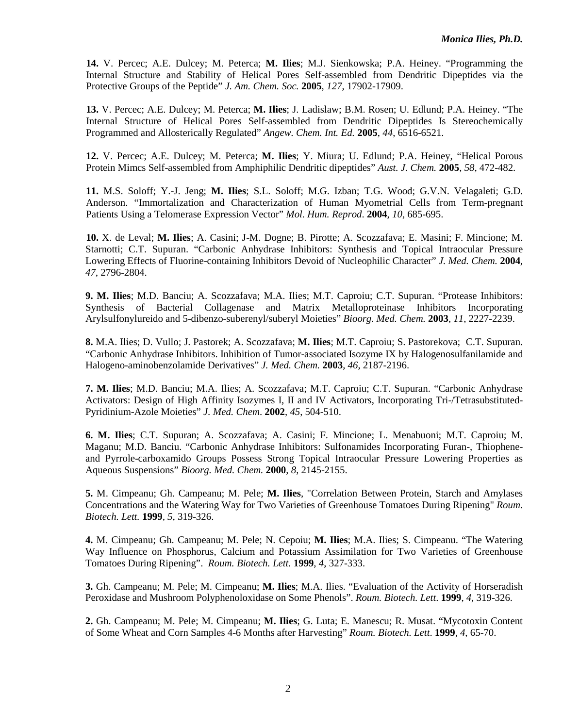**14.** V. Percec; A.E. Dulcey; M. Peterca; **M. Ilies**; M.J. Sienkowska; P.A. Heiney. "Programming the Internal Structure and Stability of Helical Pores Self-assembled from Dendritic Dipeptides via the Protective Groups of the Peptide" *J. Am. Chem. Soc.* **2005**, *127*, 17902-17909.

**13.** V. Percec; A.E. Dulcey; M. Peterca; **M. Ilies**; J. Ladislaw; B.M. Rosen; U. Edlund; P.A. Heiney. "The Internal Structure of Helical Pores Self-assembled from Dendritic Dipeptides Is Stereochemically Programmed and Allosterically Regulated" *Angew. Chem. Int. Ed.* **2005**, *44*, 6516-6521.

**12.** V. Percec; A.E. Dulcey; M. Peterca; **M. Ilies**; Y. Miura; U. Edlund; P.A. Heiney, "Helical Porous Protein Mimcs Self-assembled from Amphiphilic Dendritic dipeptides" *Aust. J. Chem.* **2005***, 58*, 472-482.

**11.** M.S. Soloff; Y.-J. Jeng; **M. Ilies**; S.L. Soloff; M.G. Izban; T.G. Wood; G.V.N. Velagaleti; G.D. Anderson. "Immortalization and Characterization of Human Myometrial Cells from Term-pregnant Patients Using a Telomerase Expression Vector" *Mol. Hum. Reprod*. **2004**, *10*, 685-695.

**10.** X. de Leval; **M. Ilies**; A. Casini; J-M. Dogne; B. Pirotte; A. Scozzafava; E. Masini; F. Mincione; M. Starnotti; C.T. Supuran. "Carbonic Anhydrase Inhibitors: Synthesis and Topical Intraocular Pressure Lowering Effects of Fluorine-containing Inhibitors Devoid of Nucleophilic Character" *J. Med. Chem.* **2004**, *47*, 2796-2804.

**9. M. Ilies**; M.D. Banciu; A. Scozzafava; M.A. Ilies; M.T. Caproiu; C.T. Supuran. "Protease Inhibitors: Synthesis of Bacterial Collagenase and Matrix Metalloproteinase Inhibitors Incorporating Arylsulfonylureido and 5-dibenzo-suberenyl/suberyl Moieties" *Bioorg. Med. Chem.* **2003**, *11*, 2227-2239.

**8.** M.A. Ilies; D. Vullo; J. Pastorek; A. Scozzafava; **M. Ilies**; M.T. Caproiu; S. Pastorekova; C.T. Supuran. "Carbonic Anhydrase Inhibitors. Inhibition of Tumor-associated Isozyme IX by Halogenosulfanilamide and Halogeno-aminobenzolamide Derivatives" *J. Med. Chem.* **2003**, *46*, 2187-2196.

**7. M. Ilies**; M.D. Banciu; M.A. Ilies; A. Scozzafava; M.T. Caproiu; C.T. Supuran. "Carbonic Anhydrase Activators: Design of High Affinity Isozymes I, II and IV Activators, Incorporating Tri-/Tetrasubstituted-Pyridinium-Azole Moieties" *J. Med. Chem*. **2002**, *45*, 504-510.

**6. M. Ilies**; C.T. Supuran; A. Scozzafava; A. Casini; F. Mincione; L. Menabuoni; M.T. Caproiu; M. Maganu; M.D. Banciu. "Carbonic Anhydrase Inhibitors: Sulfonamides Incorporating Furan-, Thiopheneand Pyrrole-carboxamido Groups Possess Strong Topical Intraocular Pressure Lowering Properties as Aqueous Suspensions" *Bioorg. Med. Chem.* **2000**, *8*, 2145-2155.

**5.** M. Cimpeanu; Gh. Campeanu; M. Pele; **M. Ilies**, "Correlation Between Protein, Starch and Amylases Concentrations and the Watering Way for Two Varieties of Greenhouse Tomatoes During Ripening" *Roum. Biotech. Lett.* **1999***, 5*, 319-326.

**4.** M. Cimpeanu; Gh. Campeanu; M. Pele; N. Cepoiu; **M. Ilies**; M.A. Ilies; S. Cimpeanu. "The Watering Way Influence on Phosphorus, Calcium and Potassium Assimilation for Two Varieties of Greenhouse Tomatoes During Ripening". *Roum. Biotech. Lett.* **1999**, *4*, 327-333.

**3.** Gh. Campeanu; M. Pele; M. Cimpeanu; **M. Ilies**; M.A. Ilies. "Evaluation of the Activity of Horseradish Peroxidase and Mushroom Polyphenoloxidase on Some Phenols". *Roum. Biotech. Lett*. **1999**, *4*, 319-326.

**2.** Gh. Campeanu; M. Pele; M. Cimpeanu; **M. Ilies**; G. Luta; E. Manescu; R. Musat. "Mycotoxin Content of Some Wheat and Corn Samples 4-6 Months after Harvesting" *Roum. Biotech. Lett*. **1999**, *4*, 65-70.